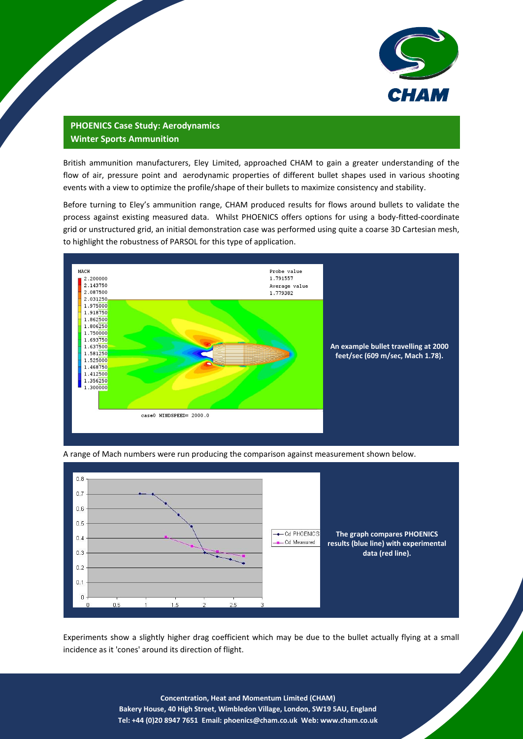

*CHAM-CS047*

## **PHOENICS Case Study: Aerodynamics Winter Sports Ammunition**

British ammunition manufacturers, Eley Limited, approached CHAM to gain a greater understanding of the flow of air, pressure point and aerodynamic properties of different bullet shapes used in various shooting events with a view to optimize the profile/shape of their bullets to maximize consistency and stability.

Before turning to Eley's ammunition range, CHAM produced results for flows around bullets to validate the process against existing measured data. Whilst PHOENICS offers options for using a body-fitted-coordinate grid or unstructured grid, an initial demonstration case was performed using quite a coarse 3D Cartesian mesh, to highlight the robustness of PARSOL for this type of application.



A range of Mach numbers were run producing the comparison against measurement shown below.



Experiments show a slightly higher drag coefficient which may be due to the bullet actually flying at a small incidence as it 'cones' around its direction of flight.

> **Concentration, Heat and Momentum Limited (CHAM) Bakery House, 40 High Street, Wimbledon Village, London, SW19 5AU, England Tel: +44 (0)20 8947 7651 Email: [phoenics@cham.co.uk](mailto:phoenics@cham.co.uk) Web: www.cham.co.uk**